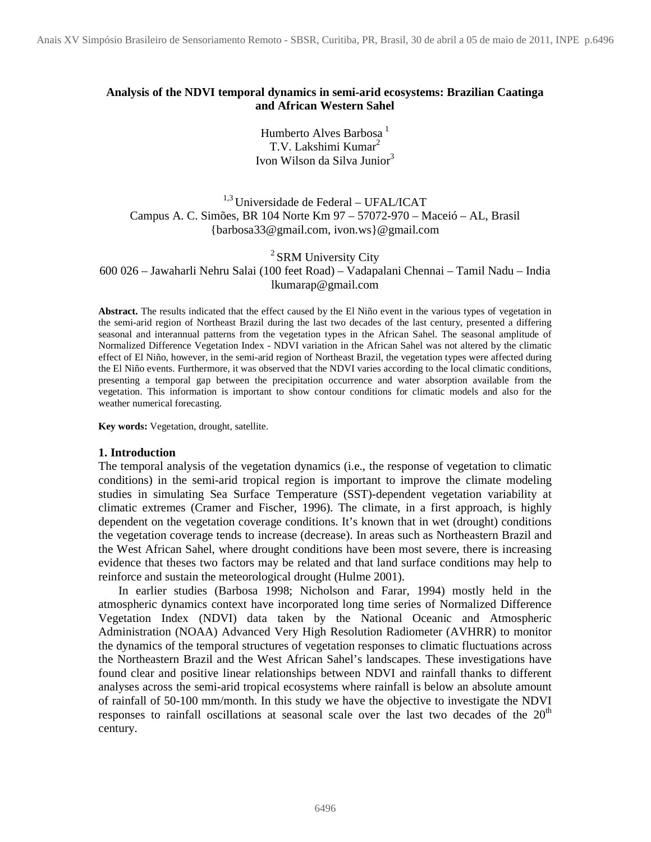# **Analysis of the NDVI temporal dynamics in semi-arid ecosystems: Brazilian Caatinga and African Western Sahel**

Humberto Alves Barbosa<sup>1</sup> T.V. Lakshimi Kumar<sup>2</sup> Ivon Wilson da Silva Junior<sup>3</sup>

 $1,3$  Universidade de Federal – UFAL/ICAT Campus A. C. Simões, BR 104 Norte Km 97 – 57072-970 – Maceió – AL, Brasil {barbosa33@gmail.com, ivon.ws}@gmail.com

<sup>2</sup> SRM University City

600 026 – Jawaharli Nehru Salai (100 feet Road) – Vadapalani Chennai – Tamil Nadu – India lkumarap@gmail.com

**Abstract.** The results indicated that the effect caused by the El Niño event in the various types of vegetation in the semi-arid region of Northeast Brazil during the last two decades of the last century, presented a differing seasonal and interannual patterns from the vegetation types in the African Sahel. The seasonal amplitude of Normalized Difference Vegetation Index - NDVI variation in the African Sahel was not altered by the climatic effect of El Niño, however, in the semi-arid region of Northeast Brazil, the vegetation types were affected during the El Niño events. Furthermore, it was observed that the NDVI varies according to the local climatic conditions, presenting a temporal gap between the precipitation occurrence and water absorption available from the vegetation. This information is important to show contour conditions for climatic models and also for the weather numerical forecasting.

**Key words:** Vegetation, drought, satellite.

## **1. Introduction**

The temporal analysis of the vegetation dynamics (i.e., the response of vegetation to climatic conditions) in the semi-arid tropical region is important to improve the climate modeling studies in simulating Sea Surface Temperature (SST)-dependent vegetation variability at climatic extremes (Cramer and Fischer, 1996). The climate, in a first approach, is highly dependent on the vegetation coverage conditions. It's known that in wet (drought) conditions the vegetation coverage tends to increase (decrease). In areas such as Northeastern Brazil and the West African Sahel, where drought conditions have been most severe, there is increasing evidence that theses two factors may be related and that land surface conditions may help to reinforce and sustain the meteorological drought (Hulme 2001).

In earlier studies (Barbosa 1998; Nicholson and Farar, 1994) mostly held in the atmospheric dynamics context have incorporated long time series of Normalized Difference Vegetation Index (NDVI) data taken by the National Oceanic and Atmospheric Administration (NOAA) Advanced Very High Resolution Radiometer (AVHRR) to monitor the dynamics of the temporal structures of vegetation responses to climatic fluctuations across the Northeastern Brazil and the West African Sahel's landscapes. These investigations have found clear and positive linear relationships between NDVI and rainfall thanks to different analyses across the semi-arid tropical ecosystems where rainfall is below an absolute amount of rainfall of 50-100 mm/month. In this study we have the objective to investigate the NDVI responses to rainfall oscillations at seasonal scale over the last two decades of the  $20<sup>th</sup>$ century.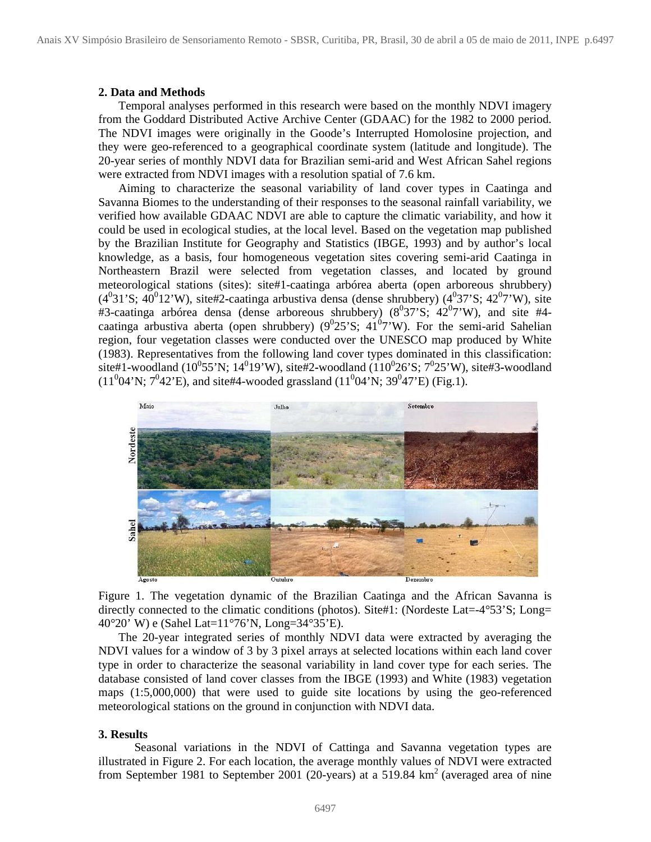#### **2. Data and Methods**

Temporal analyses performed in this research were based on the monthly NDVI imagery from the Goddard Distributed Active Archive Center (GDAAC) for the 1982 to 2000 period. The NDVI images were originally in the Goode's Interrupted Homolosine projection, and they were geo-referenced to a geographical coordinate system (latitude and longitude). The 20-year series of monthly NDVI data for Brazilian semi-arid and West African Sahel regions were extracted from NDVI images with a resolution spatial of 7.6 km.

Aiming to characterize the seasonal variability of land cover types in Caatinga and Savanna Biomes to the understanding of their responses to the seasonal rainfall variability, we verified how available GDAAC NDVI are able to capture the climatic variability, and how it could be used in ecological studies, at the local level. Based on the vegetation map published by the Brazilian Institute for Geography and Statistics (IBGE, 1993) and by author's local knowledge, as a basis, four homogeneous vegetation sites covering semi-arid Caatinga in Northeastern Brazil were selected from vegetation classes, and located by ground meteorological stations (sites): site#1-caatinga arbórea aberta (open arboreous shrubbery)  $(4^031^{\circ}S; 40^012^{\circ}W)$ , site#2-caatinga arbustiva densa (dense shrubbery)  $(4^037^{\circ}S; 42^07^{\circ}W)$ , site #3-caatinga arbórea densa (dense arboreous shrubbery)  $(8^037^{\circ}S; 42^07^{\circ}W)$ , and site #4caatinga arbustiva aberta (open shrubbery)  $(9^025^{\circ}S; 41^07^{\circ}W)$ . For the semi-arid Sahelian region, four vegetation classes were conducted over the UNESCO map produced by White (1983). Representatives from the following land cover types dominated in this classification:  $site#1$ -woodland (10<sup>0</sup>55'N; 14<sup>0</sup>19'W), site#2-woodland (110<sup>0</sup>26'S; 7<sup>0</sup>25'W), site#3-woodland  $(11<sup>0</sup>04'N; 7<sup>0</sup>42'E)$ , and site#4-wooded grassland  $(11<sup>0</sup>04'N; 39<sup>0</sup>47'E)$  (Fig.1).



Figure 1. The vegetation dynamic of the Brazilian Caatinga and the African Savanna is directly connected to the climatic conditions (photos). Site#1: (Nordeste Lat=-4°53'S; Long= 40°20' W) e (Sahel Lat=11°76'N, Long=34°35'E).

The 20-year integrated series of monthly NDVI data were extracted by averaging the NDVI values for a window of 3 by 3 pixel arrays at selected locations within each land cover type in order to characterize the seasonal variability in land cover type for each series. The database consisted of land cover classes from the IBGE (1993) and White (1983) vegetation maps (1:5,000,000) that were used to guide site locations by using the geo-referenced meteorological stations on the ground in conjunction with NDVI data.

#### **3. Results**

Seasonal variations in the NDVI of Cattinga and Savanna vegetation types are illustrated in Figure 2. For each location, the average monthly values of NDVI were extracted from September 1981 to September 2001 (20-years) at a 519.84  $km<sup>2</sup>$  (averaged area of nine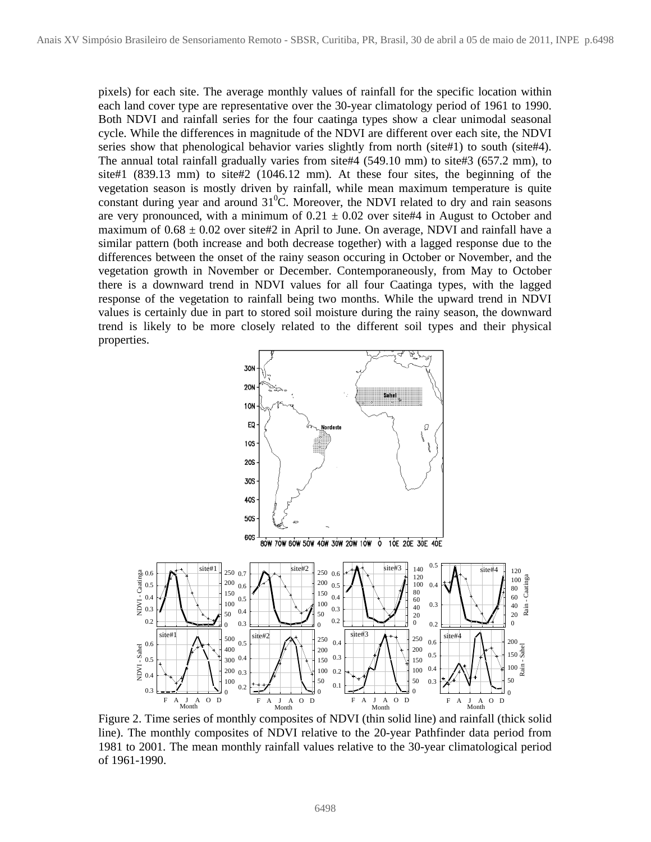pixels) for each site. The average monthly values of rainfall for the specific location within each land cover type are representative over the 30-year climatology period of 1961 to 1990. Both NDVI and rainfall series for the four caatinga types show a clear unimodal seasonal cycle. While the differences in magnitude of the NDVI are different over each site, the NDVI series show that phenological behavior varies slightly from north (site#1) to south (site#4). The annual total rainfall gradually varies from site#4 (549.10 mm) to site#3 (657.2 mm), to site#1 (839.13 mm) to site#2 (1046.12 mm). At these four sites, the beginning of the vegetation season is mostly driven by rainfall, while mean maximum temperature is quite constant during year and around  $31^{\circ}$ C. Moreover, the NDVI related to dry and rain seasons are very pronounced, with a minimum of  $0.21 \pm 0.02$  over site#4 in August to October and maximum of  $0.68 \pm 0.02$  over site#2 in April to June. On average, NDVI and rainfall have a similar pattern (both increase and both decrease together) with a lagged response due to the differences between the onset of the rainy season occuring in October or November, and the vegetation growth in November or December. Contemporaneously, from May to October there is a downward trend in NDVI values for all four Caatinga types, with the lagged response of the vegetation to rainfall being two months. While the upward trend in NDVI values is certainly due in part to stored soil moisture during the rainy season, the downward trend is likely to be more closely related to the different soil types and their physical properties.



Figure 2. Time series of monthly composites of NDVI (thin solid line) and rainfall (thick solid line). The monthly composites of NDVI relative to the 20-year Pathfinder data period from 1981 to 2001. The mean monthly rainfall values relative to the 30-year climatological period of 1961-1990.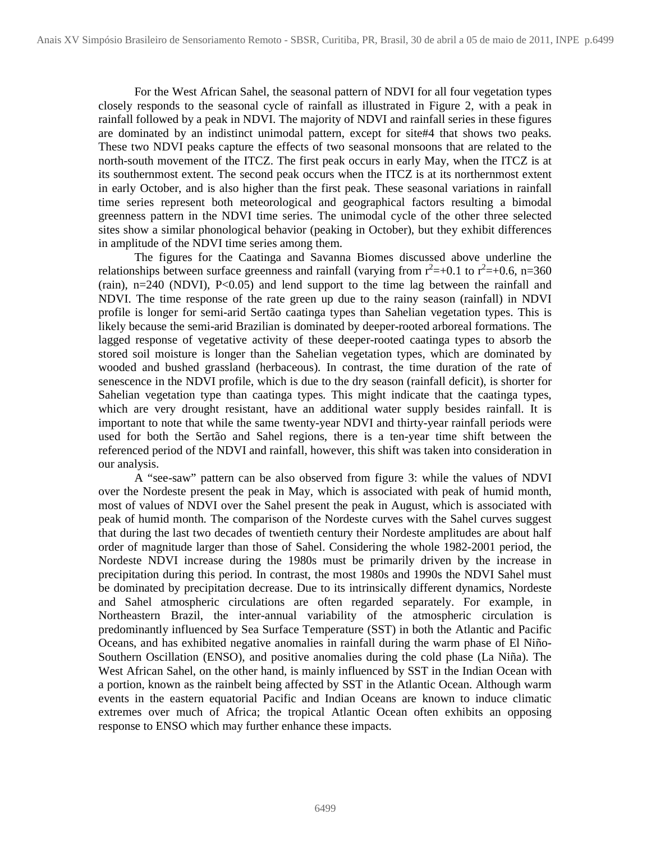For the West African Sahel, the seasonal pattern of NDVI for all four vegetation types closely responds to the seasonal cycle of rainfall as illustrated in Figure 2, with a peak in rainfall followed by a peak in NDVI. The majority of NDVI and rainfall series in these figures are dominated by an indistinct unimodal pattern, except for site#4 that shows two peaks. These two NDVI peaks capture the effects of two seasonal monsoons that are related to the north-south movement of the ITCZ. The first peak occurs in early May, when the ITCZ is at its southernmost extent. The second peak occurs when the ITCZ is at its northernmost extent in early October, and is also higher than the first peak. These seasonal variations in rainfall time series represent both meteorological and geographical factors resulting a bimodal greenness pattern in the NDVI time series. The unimodal cycle of the other three selected sites show a similar phonological behavior (peaking in October), but they exhibit differences in amplitude of the NDVI time series among them.

The figures for the Caatinga and Savanna Biomes discussed above underline the relationships between surface greenness and rainfall (varying from  $r^2$  =+0.1 to  $r^2$  =+0.6, n=360 (rain), n=240 (NDVI), P<0.05) and lend support to the time lag between the rainfall and NDVI. The time response of the rate green up due to the rainy season (rainfall) in NDVI profile is longer for semi-arid Sertão caatinga types than Sahelian vegetation types. This is likely because the semi-arid Brazilian is dominated by deeper-rooted arboreal formations. The lagged response of vegetative activity of these deeper-rooted caatinga types to absorb the stored soil moisture is longer than the Sahelian vegetation types, which are dominated by wooded and bushed grassland (herbaceous). In contrast, the time duration of the rate of senescence in the NDVI profile, which is due to the dry season (rainfall deficit), is shorter for Sahelian vegetation type than caatinga types. This might indicate that the caatinga types, which are very drought resistant, have an additional water supply besides rainfall. It is important to note that while the same twenty-year NDVI and thirty-year rainfall periods were used for both the Sertão and Sahel regions, there is a ten-year time shift between the referenced period of the NDVI and rainfall, however, this shift was taken into consideration in our analysis.

A "see-saw" pattern can be also observed from figure 3: while the values of NDVI over the Nordeste present the peak in May, which is associated with peak of humid month, most of values of NDVI over the Sahel present the peak in August, which is associated with peak of humid month. The comparison of the Nordeste curves with the Sahel curves suggest that during the last two decades of twentieth century their Nordeste amplitudes are about half order of magnitude larger than those of Sahel. Considering the whole 1982-2001 period, the Nordeste NDVI increase during the 1980s must be primarily driven by the increase in precipitation during this period. In contrast, the most 1980s and 1990s the NDVI Sahel must be dominated by precipitation decrease. Due to its intrinsically different dynamics, Nordeste and Sahel atmospheric circulations are often regarded separately. For example, in Northeastern Brazil, the inter-annual variability of the atmospheric circulation is predominantly influenced by Sea Surface Temperature (SST) in both the Atlantic and Pacific Oceans, and has exhibited negative anomalies in rainfall during the warm phase of El Niño-Southern Oscillation (ENSO), and positive anomalies during the cold phase (La Niña). The West African Sahel, on the other hand, is mainly influenced by SST in the Indian Ocean with a portion, known as the rainbelt being affected by SST in the Atlantic Ocean. Although warm events in the eastern equatorial Pacific and Indian Oceans are known to induce climatic extremes over much of Africa; the tropical Atlantic Ocean often exhibits an opposing response to ENSO which may further enhance these impacts.